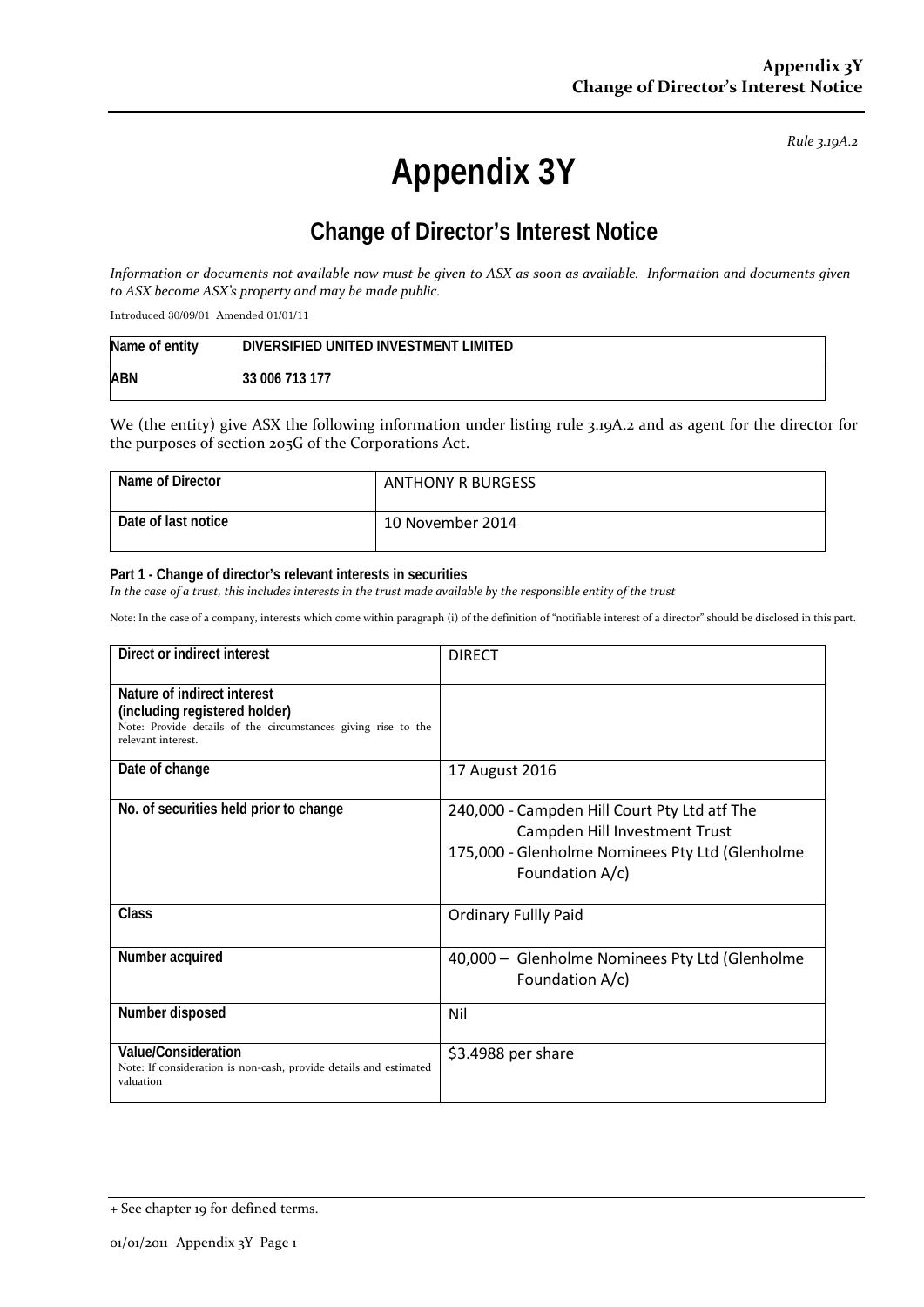*Rule 3.19A.2*

# **Appendix 3Y**

# **Change of Director's Interest Notice**

*Information or documents not available now must be given to ASX as soon as available. Information and documents given to ASX become ASX's property and may be made public.*

Introduced 30/09/01 Amended 01/01/11

| Name of entity | DIVERSIFIED UNITED INVESTMENT LIMITED |
|----------------|---------------------------------------|
| ABN            | 33 006 713 177                        |

We (the entity) give ASX the following information under listing rule 3.19A.2 and as agent for the director for the purposes of section 205G of the Corporations Act.

| Name of Director    | <b>ANTHONY R BURGESS</b> |
|---------------------|--------------------------|
| Date of last notice | 10 November 2014         |

#### **Part 1 - Change of director's relevant interests in securities**

*In the case of a trust, this includes interests in the trust made available by the responsible entity of the trust*

Note: In the case of a company, interests which come within paragraph (i) of the definition of "notifiable interest of a director" should be disclosed in this part.

| Direct or indirect interest                                                                                                                         | <b>DIRECT</b>                                                                                                                                       |
|-----------------------------------------------------------------------------------------------------------------------------------------------------|-----------------------------------------------------------------------------------------------------------------------------------------------------|
| Nature of indirect interest<br>(including registered holder)<br>Note: Provide details of the circumstances giving rise to the<br>relevant interest. |                                                                                                                                                     |
| Date of change                                                                                                                                      | 17 August 2016                                                                                                                                      |
| No. of securities held prior to change                                                                                                              | 240,000 - Campden Hill Court Pty Ltd atf The<br>Campden Hill Investment Trust<br>175,000 - Glenholme Nominees Pty Ltd (Glenholme<br>Foundation A/c) |
| <b>Class</b>                                                                                                                                        | <b>Ordinary Fullly Paid</b>                                                                                                                         |
| Number acquired                                                                                                                                     | 40,000 - Glenholme Nominees Pty Ltd (Glenholme<br>Foundation A/c)                                                                                   |
| Number disposed                                                                                                                                     | Nil                                                                                                                                                 |
| Value/Consideration<br>Note: If consideration is non-cash, provide details and estimated<br>valuation                                               | \$3.4988 per share                                                                                                                                  |

<sup>+</sup> See chapter 19 for defined terms.